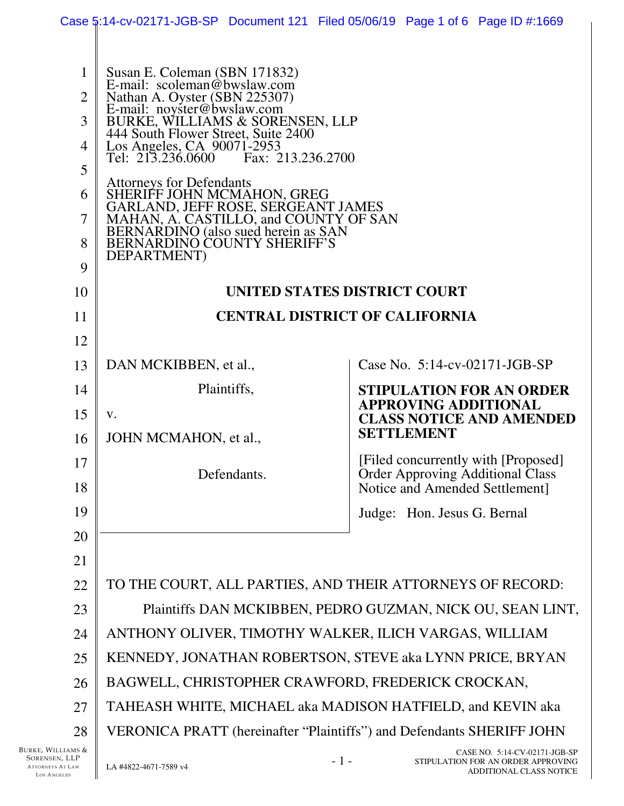|                                                                     |                                                                                                                                                                                                                                                                                                                                                                                                                                                                                                                        | Case 5:14-cv-02171-JGB-SP Document 121 Filed 05/06/19 Page 1 of 6 Page ID #:1669                                 |
|---------------------------------------------------------------------|------------------------------------------------------------------------------------------------------------------------------------------------------------------------------------------------------------------------------------------------------------------------------------------------------------------------------------------------------------------------------------------------------------------------------------------------------------------------------------------------------------------------|------------------------------------------------------------------------------------------------------------------|
| 1<br>2<br>3<br>$\overline{4}$<br>5<br>6<br>$\overline{7}$<br>8<br>9 | Susan E. Coleman (SBN 171832)<br>E-mail: scoleman@bwslaw.com<br>Nathan A. Oyster (SBN 225307)<br>E-mail: noyster@bwslaw.com<br>BURKE, WILLIAMS & SORENSEN, LLP<br>444 South Flower Street, Suite 2400<br>Los Angeles, CA 90071-2953<br>Tel: 213.236.0600 Fax: 213.236.2700<br><b>Attorneys for Defendants</b><br>SHERIFF JOHN MCMAHON, GREG<br>GARLAND, JEFF ROSE, SERGEANT JAMES<br>MAHAN, A. CASTILLO, and COUNTY OF SAN<br>BERNARDINO (also sued herein as SAN<br><b>BERNARDINO COUNTY SHERIFF'S</b><br>DEPARTMENT) |                                                                                                                  |
| 10                                                                  |                                                                                                                                                                                                                                                                                                                                                                                                                                                                                                                        | UNITED STATES DISTRICT COURT                                                                                     |
| 11                                                                  |                                                                                                                                                                                                                                                                                                                                                                                                                                                                                                                        | <b>CENTRAL DISTRICT OF CALIFORNIA</b>                                                                            |
| 12                                                                  |                                                                                                                                                                                                                                                                                                                                                                                                                                                                                                                        |                                                                                                                  |
| 13                                                                  | DAN MCKIBBEN, et al.,                                                                                                                                                                                                                                                                                                                                                                                                                                                                                                  | Case No. $5:14$ -cv-02171-JGB-SP                                                                                 |
| 14                                                                  | Plaintiffs,                                                                                                                                                                                                                                                                                                                                                                                                                                                                                                            | <b>STIPULATION FOR AN ORDER</b>                                                                                  |
| 15                                                                  | V.                                                                                                                                                                                                                                                                                                                                                                                                                                                                                                                     | <b>APPROVING ADDITIONAL</b><br><b>CLASS NOTICE AND AMENDED</b>                                                   |
| 16                                                                  | JOHN MCMAHON, et al.,                                                                                                                                                                                                                                                                                                                                                                                                                                                                                                  | <b>SETTLEMENT</b>                                                                                                |
| 17<br>18                                                            | Defendants.                                                                                                                                                                                                                                                                                                                                                                                                                                                                                                            | [Filed concurrently with [Proposed]<br><b>Order Approving Additional Class</b><br>Notice and Amended Settlement] |
| 19                                                                  |                                                                                                                                                                                                                                                                                                                                                                                                                                                                                                                        | Judge: Hon. Jesus G. Bernal                                                                                      |
| 20                                                                  |                                                                                                                                                                                                                                                                                                                                                                                                                                                                                                                        |                                                                                                                  |
| 21                                                                  |                                                                                                                                                                                                                                                                                                                                                                                                                                                                                                                        |                                                                                                                  |
| 22                                                                  |                                                                                                                                                                                                                                                                                                                                                                                                                                                                                                                        | TO THE COURT, ALL PARTIES, AND THEIR ATTORNEYS OF RECORD:                                                        |
| 23                                                                  |                                                                                                                                                                                                                                                                                                                                                                                                                                                                                                                        | Plaintiffs DAN MCKIBBEN, PEDRO GUZMAN, NICK OU, SEAN LINT,                                                       |
| 24                                                                  |                                                                                                                                                                                                                                                                                                                                                                                                                                                                                                                        | ANTHONY OLIVER, TIMOTHY WALKER, ILICH VARGAS, WILLIAM                                                            |
| 25                                                                  |                                                                                                                                                                                                                                                                                                                                                                                                                                                                                                                        | KENNEDY, JONATHAN ROBERTSON, STEVE aka LYNN PRICE, BRYAN                                                         |
| 26                                                                  |                                                                                                                                                                                                                                                                                                                                                                                                                                                                                                                        | BAGWELL, CHRISTOPHER CRAWFORD, FREDERICK CROCKAN,                                                                |
| 27                                                                  |                                                                                                                                                                                                                                                                                                                                                                                                                                                                                                                        | TAHEASH WHITE, MICHAEL aka MADISON HATFIELD, and KEVIN aka                                                       |
| 28                                                                  |                                                                                                                                                                                                                                                                                                                                                                                                                                                                                                                        | VERONICA PRATT (hereinafter "Plaintiffs") and Defendants SHERIFF JOHN                                            |
| Burke, Williams &<br>SORENSEN, LLP                                  |                                                                                                                                                                                                                                                                                                                                                                                                                                                                                                                        | CASE NO. 5:14-CV-02171-JGB-SP<br>$-1-$<br>STIPULATION FOR AN ORDER APPROVING                                     |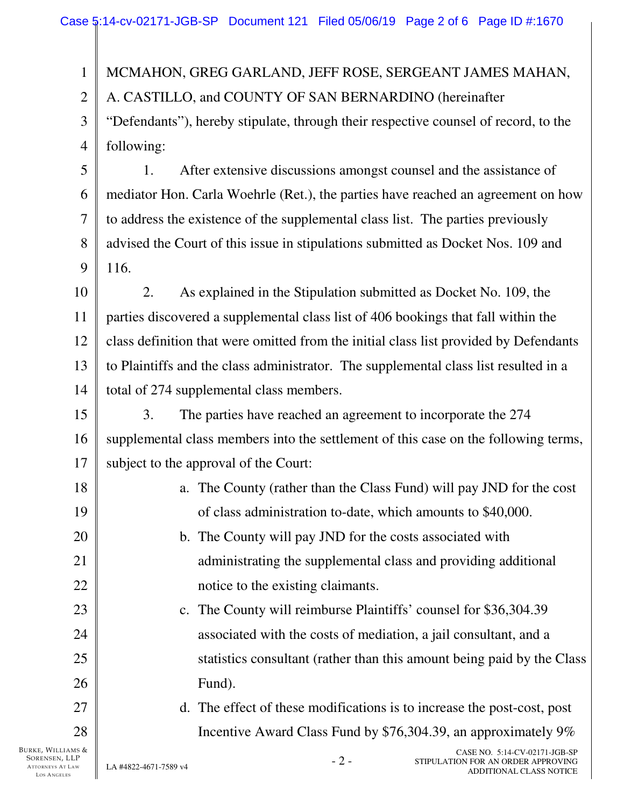BURKE, WILLIAMS & SORENSEN, LLP 1 2 3 4 5 6 7 8 9 10 11 12 13 14 15 16 17 18 19 20 21 22 23 24 25 26 27 28 CASE NO. 5:14-CV-02171-JGB-SP MCMAHON, GREG GARLAND, JEFF ROSE, SERGEANT JAMES MAHAN, A. CASTILLO, and COUNTY OF SAN BERNARDINO (hereinafter "Defendants"), hereby stipulate, through their respective counsel of record, to the following: 1. After extensive discussions amongst counsel and the assistance of mediator Hon. Carla Woehrle (Ret.), the parties have reached an agreement on how to address the existence of the supplemental class list. The parties previously advised the Court of this issue in stipulations submitted as Docket Nos. 109 and 116. 2. As explained in the Stipulation submitted as Docket No. 109, the parties discovered a supplemental class list of 406 bookings that fall within the class definition that were omitted from the initial class list provided by Defendants to Plaintiffs and the class administrator. The supplemental class list resulted in a total of 274 supplemental class members. 3. The parties have reached an agreement to incorporate the 274 supplemental class members into the settlement of this case on the following terms, subject to the approval of the Court: a. The County (rather than the Class Fund) will pay JND for the cost of class administration to-date, which amounts to \$40,000. b. The County will pay JND for the costs associated with administrating the supplemental class and providing additional notice to the existing claimants. c. The County will reimburse Plaintiffs' counsel for \$36,304.39 associated with the costs of mediation, a jail consultant, and a statistics consultant (rather than this amount being paid by the Class Fund). d. The effect of these modifications is to increase the post-cost, post Incentive Award Class Fund by \$76,304.39, an approximately 9%

ATTORNEYS AT LAW LOS ANGELES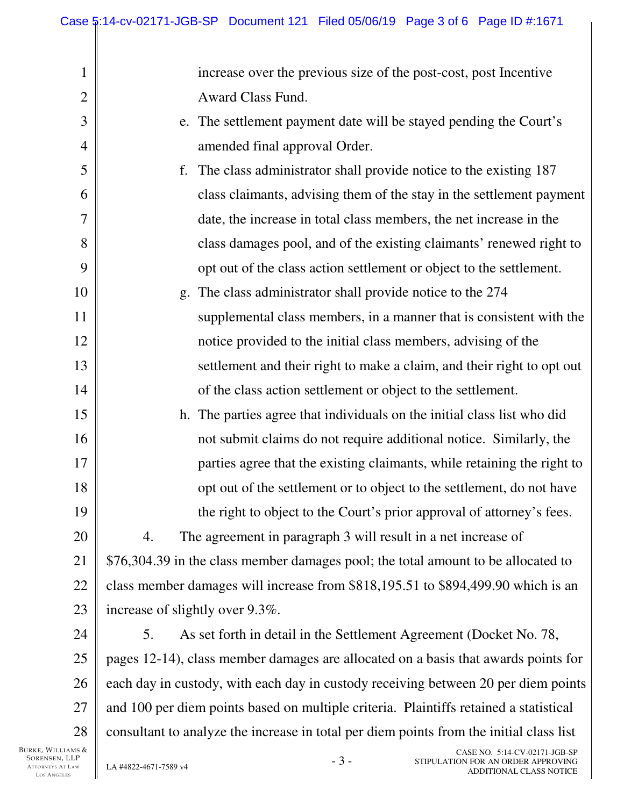increase over the previous size of the post-cost, post Incentive Award Class Fund.

- e. The settlement payment date will be stayed pending the Court's amended final approval Order.
- f. The class administrator shall provide notice to the existing 187 class claimants, advising them of the stay in the settlement payment date, the increase in total class members, the net increase in the class damages pool, and of the existing claimants' renewed right to opt out of the class action settlement or object to the settlement.
- g. The class administrator shall provide notice to the 274 supplemental class members, in a manner that is consistent with the notice provided to the initial class members, advising of the settlement and their right to make a claim, and their right to opt out of the class action settlement or object to the settlement.
	- h. The parties agree that individuals on the initial class list who did not submit claims do not require additional notice. Similarly, the parties agree that the existing claimants, while retaining the right to opt out of the settlement or to object to the settlement, do not have the right to object to the Court's prior approval of attorney's fees.

20 21 22 23 4. The agreement in paragraph 3 will result in a net increase of \$76,304.39 in the class member damages pool; the total amount to be allocated to class member damages will increase from \$818,195.51 to \$894,499.90 which is an increase of slightly over 9.3%.

24 25 26 27 28 5. As set forth in detail in the Settlement Agreement (Docket No. 78, pages 12-14), class member damages are allocated on a basis that awards points for each day in custody, with each day in custody receiving between 20 per diem points and 100 per diem points based on multiple criteria. Plaintiffs retained a statistical consultant to analyze the increase in total per diem points from the initial class list

BURKE, WILLIAMS & SORENSEN, LLP ATTORNEYS AT LAW LOS ANGELES

1

2

3

4

5

6

7

8

9

10

11

12

13

14

15

16

17

18

19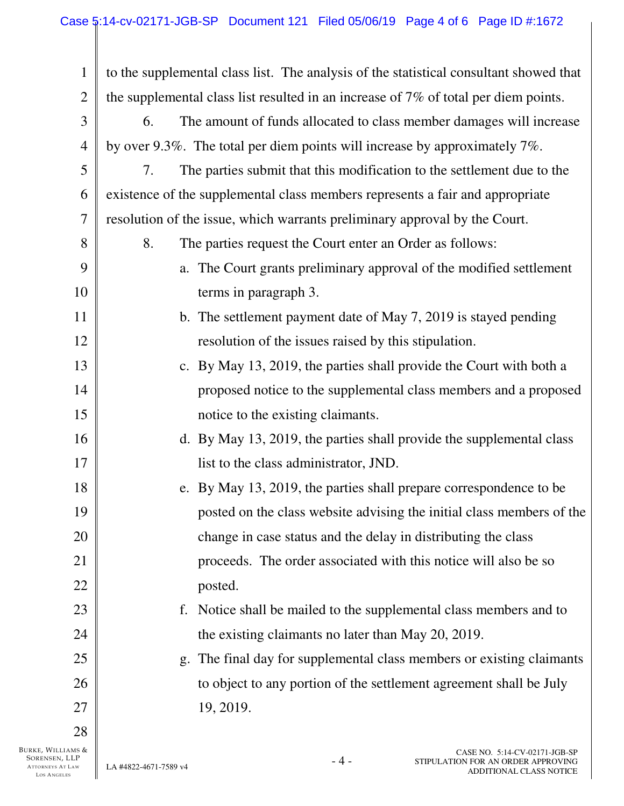| $\mathbf{1}$   | to the supplemental class list. The analysis of the statistical consultant showed that |
|----------------|----------------------------------------------------------------------------------------|
| $\overline{2}$ | the supplemental class list resulted in an increase of 7% of total per diem points.    |
| 3              | The amount of funds allocated to class member damages will increase<br>6.              |
| $\overline{4}$ | by over 9.3%. The total per diem points will increase by approximately $7\%$ .         |
| 5              | The parties submit that this modification to the settlement due to the<br>7.           |
| 6              | existence of the supplemental class members represents a fair and appropriate          |
| $\tau$         | resolution of the issue, which warrants preliminary approval by the Court.             |
| 8              | 8.<br>The parties request the Court enter an Order as follows:                         |
| 9              | a. The Court grants preliminary approval of the modified settlement                    |
| 10             | terms in paragraph 3.                                                                  |
| 11             | b. The settlement payment date of May 7, 2019 is stayed pending                        |
| 12             | resolution of the issues raised by this stipulation.                                   |
| 13             | c. By May 13, 2019, the parties shall provide the Court with both a                    |
| 14             | proposed notice to the supplemental class members and a proposed                       |
| 15             | notice to the existing claimants.                                                      |
| 16             | d. By May 13, 2019, the parties shall provide the supplemental class                   |
| 17             | list to the class administrator, JND.                                                  |
| 18             | e. By May 13, 2019, the parties shall prepare correspondence to be                     |
| 19             | posted on the class website advising the initial class members of the                  |
| 20             | change in case status and the delay in distributing the class                          |
| 21             | proceeds. The order associated with this notice will also be so                        |
| 22             | posted.                                                                                |
| 23             | Notice shall be mailed to the supplemental class members and to<br>f.                  |
| 24             | the existing claimants no later than May 20, 2019.                                     |
| 25             | The final day for supplemental class members or existing claimants<br>g.               |
| 26             | to object to any portion of the settlement agreement shall be July                     |
| 27             | 19, 2019.                                                                              |
| 28             |                                                                                        |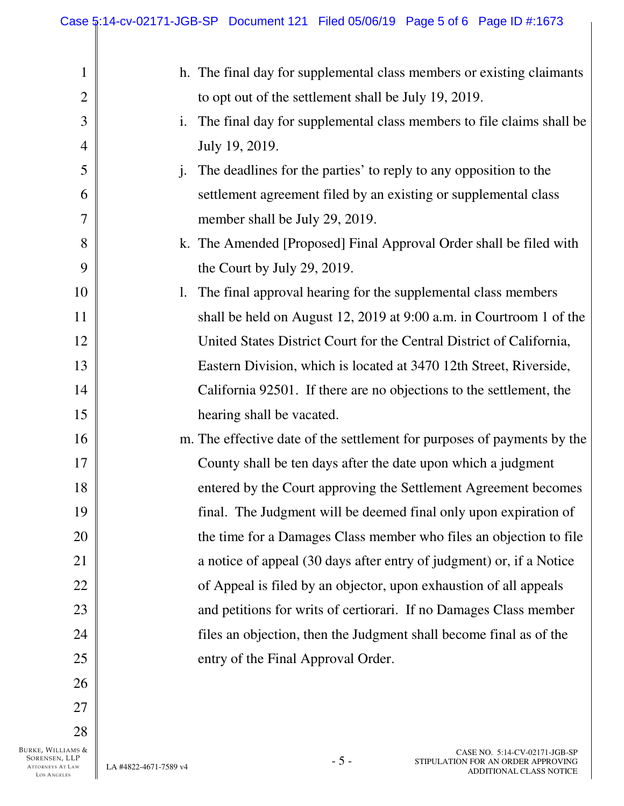|                | Case 5:14-cv-02171-JGB-SP Document 121 Filed 05/06/19 Page 5 of 6 Page ID #:1673       |
|----------------|----------------------------------------------------------------------------------------|
|                |                                                                                        |
| $\mathbf 1$    | h. The final day for supplemental class members or existing claimants                  |
| $\overline{2}$ | to opt out of the settlement shall be July 19, 2019.                                   |
| 3              | The final day for supplemental class members to file claims shall be<br>$\mathbf{1}$ . |
| $\overline{4}$ | July 19, 2019.                                                                         |
| 5              | The deadlines for the parties' to reply to any opposition to the<br>$\mathbf{i}$ .     |
| 6              | settlement agreement filed by an existing or supplemental class                        |
| $\overline{7}$ | member shall be July 29, 2019.                                                         |
| 8              | k. The Amended [Proposed] Final Approval Order shall be filed with                     |
| 9              | the Court by July 29, 2019.                                                            |
| 10             | The final approval hearing for the supplemental class members<br>1.                    |
| 11             | shall be held on August 12, 2019 at 9:00 a.m. in Courtroom 1 of the                    |
| 12             | United States District Court for the Central District of California,                   |
| 13             | Eastern Division, which is located at 3470 12th Street, Riverside,                     |
| 14             | California 92501. If there are no objections to the settlement, the                    |
| 15             | hearing shall be vacated.                                                              |
| 16             | m. The effective date of the settlement for purposes of payments by the                |
| 17             | County shall be ten days after the date upon which a judgment                          |
| 18             | entered by the Court approving the Settlement Agreement becomes                        |
| 19             | final. The Judgment will be deemed final only upon expiration of                       |
| 20             | the time for a Damages Class member who files an objection to file                     |
| 21             | a notice of appeal (30 days after entry of judgment) or, if a Notice                   |
| 22             | of Appeal is filed by an objector, upon exhaustion of all appeals                      |
| 23             | and petitions for writs of certiorari. If no Damages Class member                      |
| 24             | files an objection, then the Judgment shall become final as of the                     |
| 25             | entry of the Final Approval Order.                                                     |
| 26             |                                                                                        |
| 27             |                                                                                        |
| 28             |                                                                                        |
|                |                                                                                        |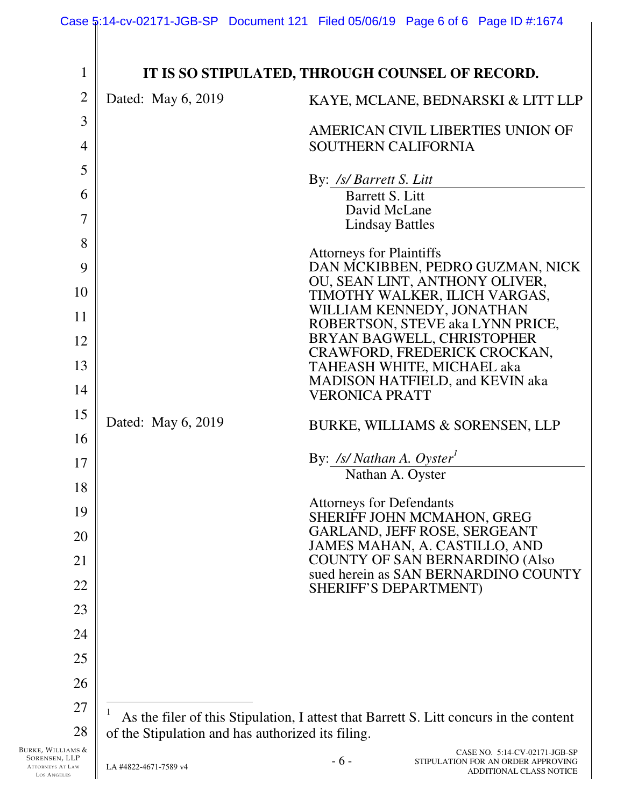| $\mathbf{1}$   |                                                   | IT IS SO STIPULATED, THROUGH COUNSEL OF RECORD.                                        |
|----------------|---------------------------------------------------|----------------------------------------------------------------------------------------|
| $\overline{2}$ | Dated: May 6, 2019                                | KAYE, MCLANE, BEDNARSKI & LITT LLP                                                     |
| 3              |                                                   | AMERICAN CIVIL LIBERTIES UNION OF                                                      |
| 4              |                                                   | <b>SOUTHERN CALIFORNIA</b>                                                             |
| 5              |                                                   | By: /s/ Barrett S. Litt                                                                |
| 6              |                                                   | Barrett S. Litt                                                                        |
| 7              |                                                   | David McLane<br><b>Lindsay Battles</b>                                                 |
| 8              |                                                   | <b>Attorneys for Plaintiffs</b>                                                        |
| 9              |                                                   | DAN MCKIBBEN, PEDRO GUZMAN, NICK<br>OU, SEAN LINT, ANTHONY OLIVER,                     |
| 10             |                                                   | TIMOTHY WALKER, ILICH VARGAS,                                                          |
| 11             |                                                   | WILLIAM KENNEDY, JONATHAN<br>ROBERTSON, STEVE aka LYNN PRICE,                          |
| 12             |                                                   | BRYAN BAGWELL, CHRISTOPHER<br>CRAWFORD, FREDERICK CROCKAN,                             |
| 13             |                                                   | TAHEASH WHITE, MICHAEL aka<br>MADISON HATFIELD, and KEVIN aka                          |
| 14             |                                                   | <b>VERONICA PRATT</b>                                                                  |
| 15             | Dated: May 6, 2019                                | BURKE, WILLIAMS & SORENSEN, LLP                                                        |
| 16             |                                                   |                                                                                        |
| 17             |                                                   | By: /s/ Nathan A. Oyster <sup>1</sup><br>Nathan A. Oyster                              |
| 18             |                                                   | <b>Attorneys for Defendants</b>                                                        |
| 19             |                                                   | SHERIFF JOHN MCMAHON, GREG                                                             |
| 20             |                                                   | GARLAND, JEFF ROSE, SERGEANT<br>JAMES MAHAN, A. CASTILLO, AND                          |
| 21             |                                                   | <b>COUNTY OF SAN BERNARDINO (Also</b><br>sued herein as SAN BERNARDINO COUNTY          |
| 22             |                                                   | SHERIFF'S DEPARTMENT)                                                                  |
| 23             |                                                   |                                                                                        |
| 24             |                                                   |                                                                                        |
| 25             |                                                   |                                                                                        |
| 26             |                                                   |                                                                                        |
| 27             |                                                   | As the filer of this Stipulation, I attest that Barrett S. Litt concurs in the content |
| 28             | of the Stipulation and has authorized its filing. |                                                                                        |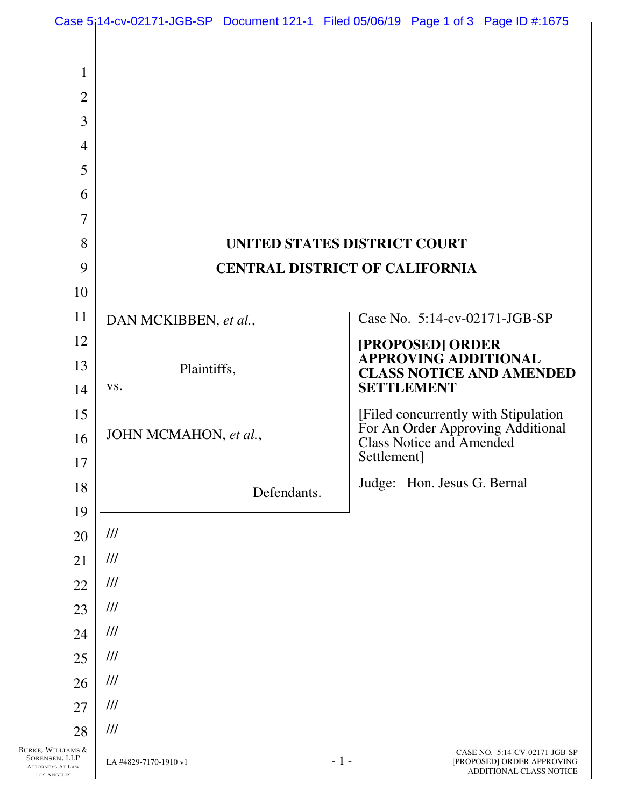|                                                  | Case 5;14-cv-02171-JGB-SP Document 121-1 Filed 05/06/19 Page 1 of 3 Page ID #:1675 |                                       |       |             |                                 |                                                                                        |
|--------------------------------------------------|------------------------------------------------------------------------------------|---------------------------------------|-------|-------------|---------------------------------|----------------------------------------------------------------------------------------|
|                                                  |                                                                                    |                                       |       |             |                                 |                                                                                        |
| $\mathbf{1}$                                     |                                                                                    |                                       |       |             |                                 |                                                                                        |
| $\overline{2}$                                   |                                                                                    |                                       |       |             |                                 |                                                                                        |
| 3                                                |                                                                                    |                                       |       |             |                                 |                                                                                        |
| $\overline{4}$                                   |                                                                                    |                                       |       |             |                                 |                                                                                        |
| 5                                                |                                                                                    |                                       |       |             |                                 |                                                                                        |
| 6                                                |                                                                                    |                                       |       |             |                                 |                                                                                        |
| $\overline{7}$                                   |                                                                                    |                                       |       |             |                                 |                                                                                        |
| 8                                                |                                                                                    | UNITED STATES DISTRICT COURT          |       |             |                                 |                                                                                        |
| 9                                                |                                                                                    | <b>CENTRAL DISTRICT OF CALIFORNIA</b> |       |             |                                 |                                                                                        |
| 10                                               |                                                                                    |                                       |       |             |                                 |                                                                                        |
| 11                                               | DAN MCKIBBEN, et al.,                                                              |                                       |       |             |                                 | Case No. 5:14-cv-02171-JGB-SP                                                          |
| 12                                               |                                                                                    |                                       |       |             | [PROPOSED] ORDER                |                                                                                        |
| 13                                               | Plaintiffs,                                                                        |                                       |       |             | <b>APPROVING ADDITIONAL</b>     | <b>CLASS NOTICE AND AMENDED</b>                                                        |
| 14                                               | VS.                                                                                |                                       |       |             | <b>SETTLEMENT</b>               |                                                                                        |
| 15                                               |                                                                                    |                                       |       |             |                                 | [Filed concurrently with Stipulation]<br>For An Order Approving Additional             |
| 16                                               | JOHN MCMAHON, et al.,                                                              |                                       |       |             | <b>Class Notice and Amended</b> |                                                                                        |
| 17                                               |                                                                                    |                                       |       | Settlement] |                                 |                                                                                        |
| 18                                               |                                                                                    | Defendants.                           |       |             | Judge: Hon. Jesus G. Bernal     |                                                                                        |
| 19                                               |                                                                                    |                                       |       |             |                                 |                                                                                        |
| 20                                               | ///                                                                                |                                       |       |             |                                 |                                                                                        |
| 21                                               | ///                                                                                |                                       |       |             |                                 |                                                                                        |
| 22                                               | ///                                                                                |                                       |       |             |                                 |                                                                                        |
| 23                                               | ///                                                                                |                                       |       |             |                                 |                                                                                        |
| 24                                               | ///                                                                                |                                       |       |             |                                 |                                                                                        |
| 25                                               | ///                                                                                |                                       |       |             |                                 |                                                                                        |
| 26                                               | ///                                                                                |                                       |       |             |                                 |                                                                                        |
| 27                                               | ///                                                                                |                                       |       |             |                                 |                                                                                        |
| 28<br>Burke, Williams &                          | ///                                                                                |                                       |       |             |                                 |                                                                                        |
| SORENSEN, LLP<br>ATTORNEYS AT LAW<br>LOS ANGELES | LA #4829-7170-1910 v1                                                              |                                       | $-1-$ |             |                                 | CASE NO. 5:14-CV-02171-JGB-SP<br>[PROPOSED] ORDER APPROVING<br>ADDITIONAL CLASS NOTICE |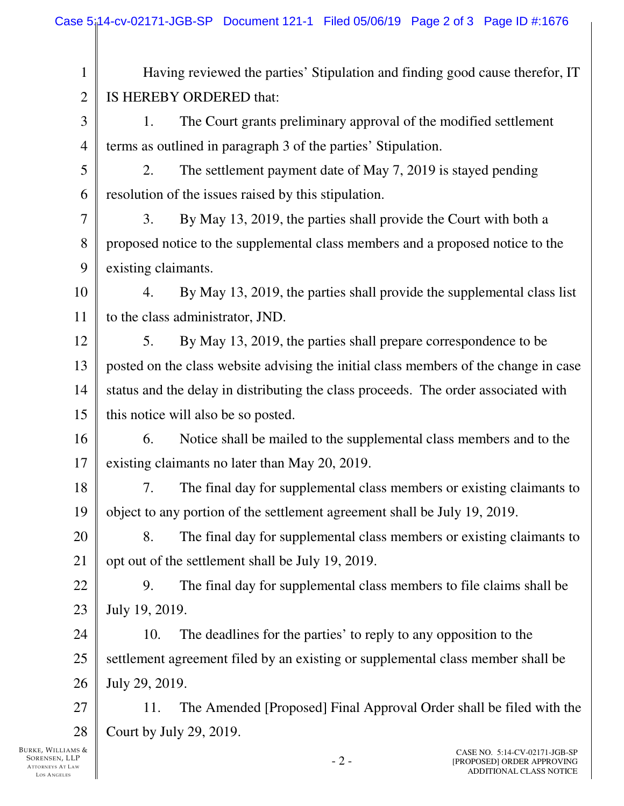| $\mathbf{1}$   | Having reviewed the parties' Stipulation and finding good cause therefor, IT         |  |  |  |
|----------------|--------------------------------------------------------------------------------------|--|--|--|
| $\mathbf{2}$   | IS HEREBY ORDERED that:                                                              |  |  |  |
| 3              | The Court grants preliminary approval of the modified settlement<br>1.               |  |  |  |
| $\overline{4}$ | terms as outlined in paragraph 3 of the parties' Stipulation.                        |  |  |  |
| 5              | The settlement payment date of May 7, 2019 is stayed pending<br>2.                   |  |  |  |
| 6              | resolution of the issues raised by this stipulation.                                 |  |  |  |
| 7              | By May 13, 2019, the parties shall provide the Court with both a<br>3.               |  |  |  |
| 8              | proposed notice to the supplemental class members and a proposed notice to the       |  |  |  |
| 9              | existing claimants.                                                                  |  |  |  |
| 10             | By May 13, 2019, the parties shall provide the supplemental class list<br>4.         |  |  |  |
| 11             | to the class administrator, JND.                                                     |  |  |  |
| 12             | By May 13, 2019, the parties shall prepare correspondence to be<br>5.                |  |  |  |
| 13             | posted on the class website advising the initial class members of the change in case |  |  |  |
| 14             | status and the delay in distributing the class proceeds. The order associated with   |  |  |  |
| 15             | this notice will also be so posted.                                                  |  |  |  |
| 16             | 6.<br>Notice shall be mailed to the supplemental class members and to the            |  |  |  |
| 17             | existing claimants no later than May 20, 2019.                                       |  |  |  |
| 18             | The final day for supplemental class members or existing claimants to<br>7.          |  |  |  |
| 19             | object to any portion of the settlement agreement shall be July 19, 2019.            |  |  |  |
| 20             | The final day for supplemental class members or existing claimants to<br>8.          |  |  |  |
| 21             | opt out of the settlement shall be July 19, 2019.                                    |  |  |  |
| 22             | The final day for supplemental class members to file claims shall be<br>9.           |  |  |  |
| 23             | July 19, 2019.                                                                       |  |  |  |
| 24             | 10.<br>The deadlines for the parties' to reply to any opposition to the              |  |  |  |
| 25             | settlement agreement filed by an existing or supplemental class member shall be      |  |  |  |
| 26             | July 29, 2019.                                                                       |  |  |  |
| 27             | The Amended [Proposed] Final Approval Order shall be filed with the<br>11.           |  |  |  |
| 28             | Court by July 29, 2019.                                                              |  |  |  |
| MS &           | CASE NO. 5:14-CV-02171-JGB-SP                                                        |  |  |  |

BURKE, WILLIAMS & SORENSEN, LLP ATTORNEYS AT LAW LOS ANGELES

Ш